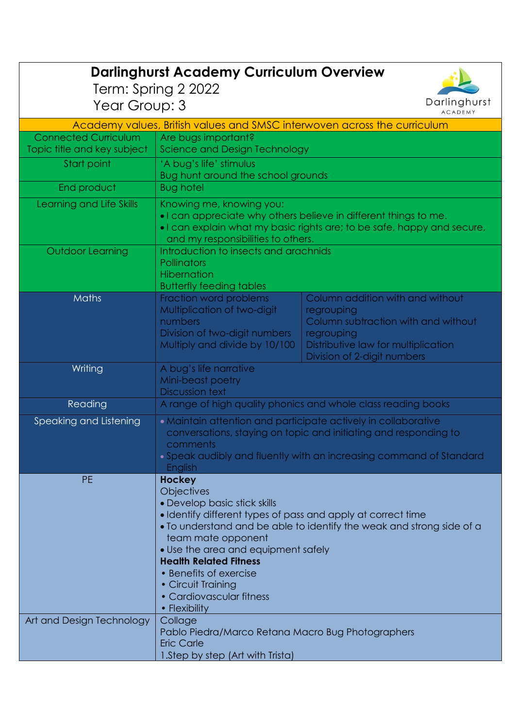|                                                                                            | <b>Darlinghurst Academy Curriculum Overview</b>                                                                                                                                                                                                                                                                                                                                                                                                                                                                                 |                                                                                                                                                                           |  |
|--------------------------------------------------------------------------------------------|---------------------------------------------------------------------------------------------------------------------------------------------------------------------------------------------------------------------------------------------------------------------------------------------------------------------------------------------------------------------------------------------------------------------------------------------------------------------------------------------------------------------------------|---------------------------------------------------------------------------------------------------------------------------------------------------------------------------|--|
| Term: Spring 2 2022<br>Darlinghurst<br>Year Group: 3                                       |                                                                                                                                                                                                                                                                                                                                                                                                                                                                                                                                 |                                                                                                                                                                           |  |
| <b>ACADEMY</b><br>Academy values, British values and SMSC interwoven across the curriculum |                                                                                                                                                                                                                                                                                                                                                                                                                                                                                                                                 |                                                                                                                                                                           |  |
| <b>Connected Curriculum</b>                                                                | Are bugs important?                                                                                                                                                                                                                                                                                                                                                                                                                                                                                                             |                                                                                                                                                                           |  |
| Topic title and key subject                                                                | Science and Design Technology                                                                                                                                                                                                                                                                                                                                                                                                                                                                                                   |                                                                                                                                                                           |  |
| Start point                                                                                | 'A bug's life' stimulus<br>Bug hunt around the school grounds                                                                                                                                                                                                                                                                                                                                                                                                                                                                   |                                                                                                                                                                           |  |
| End product                                                                                | <b>Bug hotel</b>                                                                                                                                                                                                                                                                                                                                                                                                                                                                                                                |                                                                                                                                                                           |  |
| Learning and Life Skills                                                                   | Knowing me, knowing you:<br>. I can appreciate why others believe in different things to me.<br>. I can explain what my basic rights are; to be safe, happy and secure,<br>and my responsibilities to others.                                                                                                                                                                                                                                                                                                                   |                                                                                                                                                                           |  |
| <b>Outdoor Learning</b>                                                                    | Introduction to insects and arachnids<br>Pollinators<br><b>Hibernation</b><br><b>Butterfly feeding tables</b>                                                                                                                                                                                                                                                                                                                                                                                                                   |                                                                                                                                                                           |  |
| <b>Maths</b>                                                                               | Fraction word problems<br>Multiplication of two-digit<br>numbers<br>Division of two-digit numbers<br>Multiply and divide by 10/100                                                                                                                                                                                                                                                                                                                                                                                              | Column addition with and without<br>regrouping<br>Column subtraction with and without<br>regrouping<br>Distributive law for multiplication<br>Division of 2-digit numbers |  |
| Writing                                                                                    | A bug's life narrative<br>Mini-beast poetry<br><b>Discussion text</b>                                                                                                                                                                                                                                                                                                                                                                                                                                                           |                                                                                                                                                                           |  |
| Reading                                                                                    | A range of high quality phonics and whole class reading books                                                                                                                                                                                                                                                                                                                                                                                                                                                                   |                                                                                                                                                                           |  |
| Speaking and Listening                                                                     | • Maintain attention and participate actively in collaborative<br>conversations, staying on topic and initiating and responding to<br>comments<br>• Speak audibly and fluently with an increasing command of Standard<br><b>English</b>                                                                                                                                                                                                                                                                                         |                                                                                                                                                                           |  |
| <b>PE</b><br>Art and Design Technology                                                     | <b>Hockey</b><br><b>Objectives</b><br>• Develop basic stick skills<br>• Identify different types of pass and apply at correct time<br>• To understand and be able to identify the weak and strong side of a<br>team mate opponent<br>• Use the area and equipment safely<br><b>Health Related Fitness</b><br>• Benefits of exercise<br>• Circuit Training<br>• Cardiovascular fitness<br>• Flexibility<br>Collage<br>Pablo Piedra/Marco Retana Macro Bug Photographers<br><b>Eric Carle</b><br>1.Step by step (Art with Trista) |                                                                                                                                                                           |  |